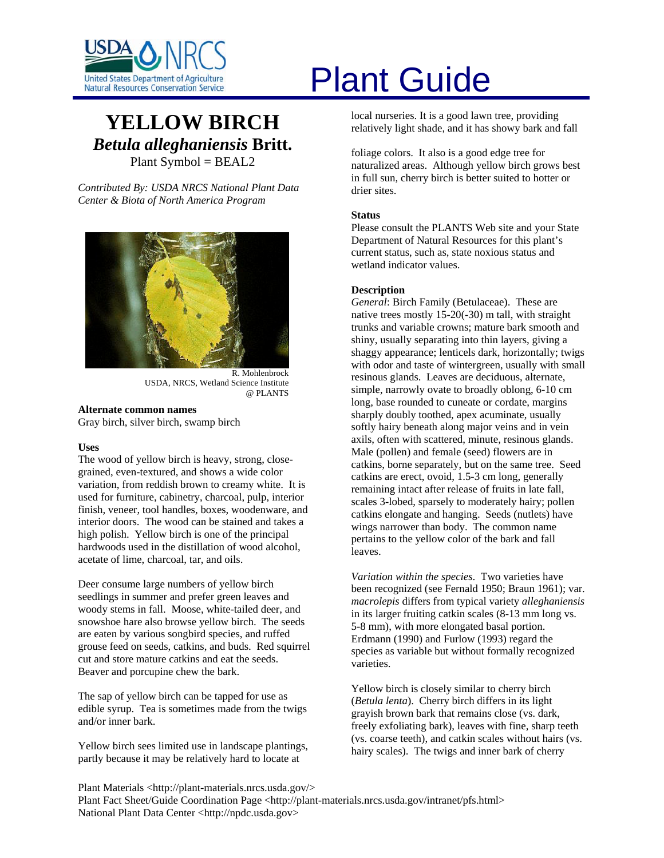

# **YELLOW BIRCH** *Betula alleghaniensis* **Britt.** Plant Symbol = BEAL2

*Contributed By: USDA NRCS National Plant Data Center & Biota of North America Program* 



R. Mohlenbrock USDA, NRCS, Wetland Science Institute @ PLANTS

# **Alternate common names**

Gray birch, silver birch, swamp birch

# **Uses**

The wood of yellow birch is heavy, strong, closegrained, even-textured, and shows a wide color variation, from reddish brown to creamy white. It is used for furniture, cabinetry, charcoal, pulp, interior finish, veneer, tool handles, boxes, woodenware, and interior doors. The wood can be stained and takes a high polish. Yellow birch is one of the principal hardwoods used in the distillation of wood alcohol, acetate of lime, charcoal, tar, and oils.

Deer consume large numbers of yellow birch seedlings in summer and prefer green leaves and woody stems in fall. Moose, white-tailed deer, and snowshoe hare also browse yellow birch. The seeds are eaten by various songbird species, and ruffed grouse feed on seeds, catkins, and buds. Red squirrel cut and store mature catkins and eat the seeds. Beaver and porcupine chew the bark.

The sap of yellow birch can be tapped for use as edible syrup. Tea is sometimes made from the twigs and/or inner bark.

Yellow birch sees limited use in landscape plantings, partly because it may be relatively hard to locate at

# United States Department of Agriculture<br>Natural Resources Conservation Service

local nurseries. It is a good lawn tree, providing relatively light shade, and it has showy bark and fall

foliage colors. It also is a good edge tree for naturalized areas. Although yellow birch grows best in full sun, cherry birch is better suited to hotter or drier sites.

# **Status**

Please consult the PLANTS Web site and your State Department of Natural Resources for this plant's current status, such as, state noxious status and wetland indicator values.

# **Description**

*General*: Birch Family (Betulaceae). These are native trees mostly 15-20(-30) m tall, with straight trunks and variable crowns; mature bark smooth and shiny, usually separating into thin layers, giving a shaggy appearance; lenticels dark, horizontally; twigs with odor and taste of wintergreen, usually with small resinous glands. Leaves are deciduous, alternate, simple, narrowly ovate to broadly oblong, 6-10 cm long, base rounded to cuneate or cordate, margins sharply doubly toothed, apex acuminate, usually softly hairy beneath along major veins and in vein axils, often with scattered, minute, resinous glands. Male (pollen) and female (seed) flowers are in catkins, borne separately, but on the same tree. Seed catkins are erect, ovoid, 1.5-3 cm long, generally remaining intact after release of fruits in late fall, scales 3-lobed, sparsely to moderately hairy; pollen catkins elongate and hanging. Seeds (nutlets) have wings narrower than body. The common name pertains to the yellow color of the bark and fall leaves.

*Variation within the species*. Two varieties have been recognized (see Fernald 1950; Braun 1961); var. *macrolepis* differs from typical variety *alleghaniensis* in its larger fruiting catkin scales (8-13 mm long vs. 5-8 mm), with more elongated basal portion. Erdmann (1990) and Furlow (1993) regard the species as variable but without formally recognized varieties.

Yellow birch is closely similar to cherry birch (*Betula lenta*). Cherry birch differs in its light grayish brown bark that remains close (vs. dark, freely exfoliating bark), leaves with fine, sharp teeth (vs. coarse teeth), and catkin scales without hairs (vs. hairy scales). The twigs and inner bark of cherry

Plant Materials <http://plant-materials.nrcs.usda.gov/> Plant Fact Sheet/Guide Coordination Page <http://plant-materials.nrcs.usda.gov/intranet/pfs.html> National Plant Data Center <http://npdc.usda.gov>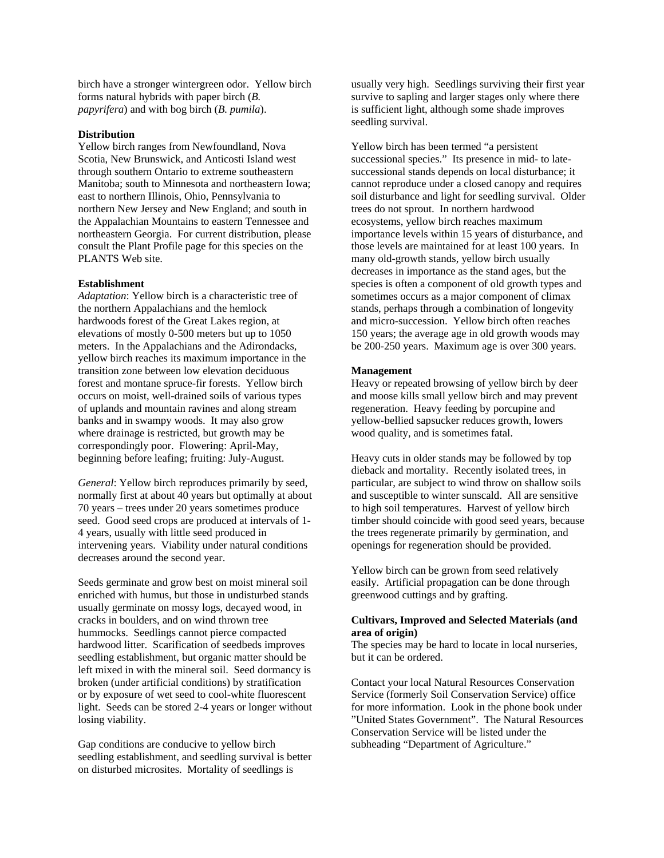birch have a stronger wintergreen odor. Yellow birch forms natural hybrids with paper birch (*B. papyrifera*) and with bog birch (*B. pumila*).

# **Distribution**

Yellow birch ranges from Newfoundland, Nova Scotia, New Brunswick, and Anticosti Island west through southern Ontario to extreme southeastern Manitoba; south to Minnesota and northeastern Iowa; east to northern Illinois, Ohio, Pennsylvania to northern New Jersey and New England; and south in the Appalachian Mountains to eastern Tennessee and northeastern Georgia. For current distribution, please consult the Plant Profile page for this species on the PLANTS Web site.

#### **Establishment**

*Adaptation*: Yellow birch is a characteristic tree of the northern Appalachians and the hemlock hardwoods forest of the Great Lakes region, at elevations of mostly 0-500 meters but up to 1050 meters.In the Appalachians and the Adirondacks, yellow birch reaches its maximum importance in the transition zone between low elevation deciduous forest and montane spruce-fir forests. Yellow birch occurs on moist, well-drained soils of various types of uplands and mountain ravines and along stream banks and in swampy woods. It may also grow where drainage is restricted, but growth may be correspondingly poor. Flowering: April-May, beginning before leafing; fruiting: July-August.

*General*: Yellow birch reproduces primarily by seed, normally first at about 40 years but optimally at about 70 years – trees under 20 years sometimes produce seed. Good seed crops are produced at intervals of 1- 4 years, usually with little seed produced in intervening years. Viability under natural conditions decreases around the second year.

Seeds germinate and grow best on moist mineral soil enriched with humus, but those in undisturbed stands usually germinate on mossy logs, decayed wood, in cracks in boulders, and on wind thrown tree hummocks. Seedlings cannot pierce compacted hardwood litter. Scarification of seedbeds improves seedling establishment, but organic matter should be left mixed in with the mineral soil. Seed dormancy is broken (under artificial conditions) by stratification or by exposure of wet seed to cool-white fluorescent light. Seeds can be stored 2-4 years or longer without losing viability.

Gap conditions are conducive to yellow birch seedling establishment, and seedling survival is better on disturbed microsites. Mortality of seedlings is

usually very high. Seedlings surviving their first year survive to sapling and larger stages only where there is sufficient light, although some shade improves seedling survival.

Yellow birch has been termed "a persistent successional species." Its presence in mid- to latesuccessional stands depends on local disturbance; it cannot reproduce under a closed canopy and requires soil disturbance and light for seedling survival. Older trees do not sprout. In northern hardwood ecosystems, yellow birch reaches maximum importance levels within 15 years of disturbance, and those levels are maintained for at least 100 years. In many old-growth stands, yellow birch usually decreases in importance as the stand ages, but the species is often a component of old growth types and sometimes occurs as a major component of climax stands, perhaps through a combination of longevity and micro-succession. Yellow birch often reaches 150 years; the average age in old growth woods may be 200-250 years. Maximum age is over 300 years.

#### **Management**

Heavy or repeated browsing of yellow birch by deer and moose kills small yellow birch and may prevent regeneration. Heavy feeding by porcupine and yellow-bellied sapsucker reduces growth, lowers wood quality, and is sometimes fatal.

Heavy cuts in older stands may be followed by top dieback and mortality. Recently isolated trees, in particular, are subject to wind throw on shallow soils and susceptible to winter sunscald. All are sensitive to high soil temperatures. Harvest of yellow birch timber should coincide with good seed years, because the trees regenerate primarily by germination, and openings for regeneration should be provided.

Yellow birch can be grown from seed relatively easily. Artificial propagation can be done through greenwood cuttings and by grafting.

# **Cultivars, Improved and Selected Materials (and area of origin)**

The species may be hard to locate in local nurseries, but it can be ordered.

Contact your local Natural Resources Conservation Service (formerly Soil Conservation Service) office for more information. Look in the phone book under "United States Government". The Natural Resources Conservation Service will be listed under the subheading "Department of Agriculture."